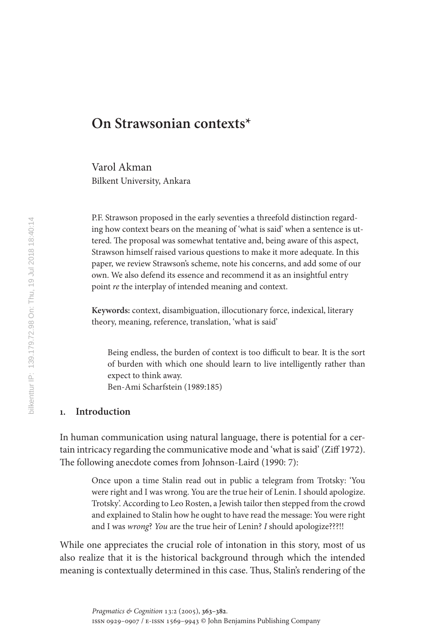# **On Strawsonian contexts\***

Varol Akman Bilkent University, Ankara

P.F. Strawson proposed in the early seventies a threefold distinction regarding how context bears on the meaning of 'what is said' when a sentence is uttered. The proposal was somewhat tentative and, being aware of this aspect, Strawson himself raised various questions to make it more adequate. In this paper, we review Strawson's scheme, note his concerns, and add some of our own. We also defend its essence and recommend it as an insightful entry point *re* the interplay of intended meaning and context.

**Keywords:** context, disambiguation, illocutionary force, indexical, literary theory, meaning, reference, translation, 'what is said'

Being endless, the burden of context is too difficult to bear. It is the sort of burden with which one should learn to live intelligently rather than expect to think away. Ben-Ami Scharfstein (1989:185)

#### **. Introduction**

In human communication using natural language, there is potential for a certain intricacy regarding the communicative mode and 'what is said' (Ziff 1972). The following anecdote comes from Johnson-Laird (1990: 7):

> Once upon a time Stalin read out in public a telegram from Trotsky: 'You were right and I was wrong. You are the true heir of Lenin. I should apologize. Trotsky'. According to Leo Rosten, a Jewish tailor then stepped from the crowd and explained to Stalin how he ought to have read the message: You were right and I was *wrong*? *You* are the true heir of Lenin? *I* should apologize???!!

While one appreciates the crucial role of intonation in this story, most of us also realize that it is the historical background through which the intended meaning is contextually determined in this case. Thus, Stalin's rendering of the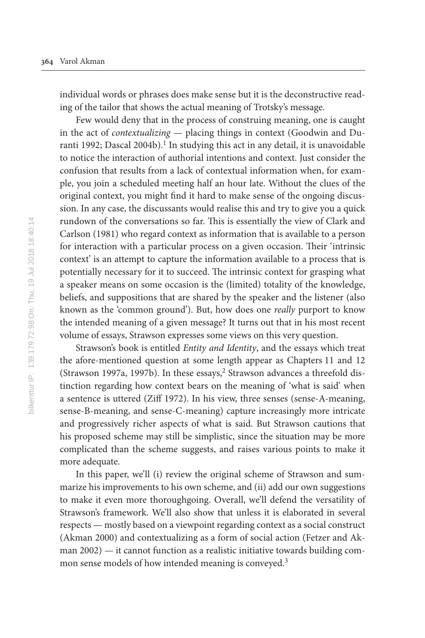individual words or phrases does make sense but it is the deconstructive reading of the tailor that shows the actual meaning of Trotsky's message.

Few would deny that in the process of construing meaning, one is caught in the act of *contextualizing* — placing things in context (Goodwin and Duranti 1992; Dascal 2004b).<sup>1</sup> In studying this act in any detail, it is unavoidable to notice the interaction of authorial intentions and context. Just consider the confusion that results from a lack of contextual information when, for example, you join a scheduled meeting half an hour late. Without the clues of the original context, you might find it hard to make sense of the ongoing discussion. In any case, the discussants would realise this and try to give you a quick rundown of the conversations so far. This is essentially the view of Clark and Carlson (1981) who regard context as information that is available to a person for interaction with a particular process on a given occasion. Their 'intrinsic context' is an attempt to capture the information available to a process that is potentially necessary for it to succeed. The intrinsic context for grasping what a speaker means on some occasion is the (limited) totality of the knowledge, beliefs, and suppositions that are shared by the speaker and the listener (also known as the 'common ground'). But, how does one *really* purport to know the intended meaning of a given message? It turns out that in his most recent volume of essays, Strawson expresses some views on this very question.

Strawson's book is entitled *Entity and Identity*, and the essays which treat the afore-mentioned question at some length appear as Chapters 11 and 12 (Strawson 1997a, 1997b). In these essays,<sup>2</sup> Strawson advances a threefold distinction regarding how context bears on the meaning of 'what is said' when a sentence is uttered (Ziff 1972). In his view, three senses (sense-A-meaning, sense-B-meaning, and sense-C-meaning) capture increasingly more intricate and progressively richer aspects of what is said. But Strawson cautions that his proposed scheme may still be simplistic, since the situation may be more complicated than the scheme suggests, and raises various points to make it more adequate.

In this paper, we'll (i) review the original scheme of Strawson and summarize his improvements to his own scheme, and (ii) add our own suggestions to make it even more thoroughgoing. Overall, we'll defend the versatility of Strawson's framework. We'll also show that unless it is elaborated in several respects — mostly based on a viewpoint regarding context as a social construct (Akman 2000) and contextualizing as a form of social action (Fetzer and Akman 2002) — it cannot function as a realistic initiative towards building common sense models of how intended meaning is conveyed.<sup>3</sup>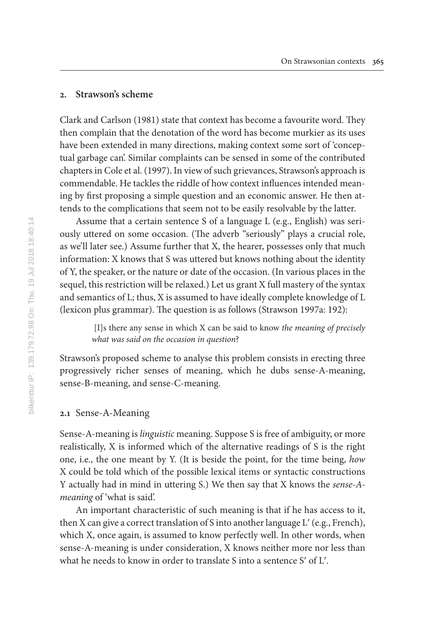## **2. Strawson's scheme**

Clark and Carlson (1981) state that context has become a favourite word. They then complain that the denotation of the word has become murkier as its uses have been extended in many directions, making context some sort of 'conceptual garbage can'. Similar complaints can be sensed in some of the contributed chapters in Cole et al. (1997). In view of such grievances, Strawson's approach is commendable. He tackles the riddle of how context influences intended meaning by first proposing a simple question and an economic answer. He then attends to the complications that seem not to be easily resolvable by the latter.

Assume that a certain sentence S of a language L (e.g., English) was seriously uttered on some occasion. (The adverb "seriously" plays a crucial role, as we'll later see.) Assume further that X, the hearer, possesses only that much information: X knows that S was uttered but knows nothing about the identity of Y, the speaker, or the nature or date of the occasion. (In various places in the sequel, this restriction will be relaxed.) Let us grant X full mastery of the syntax and semantics of L; thus, X is assumed to have ideally complete knowledge of L (lexicon plus grammar). The question is as follows (Strawson 1997a: 192):

> [I]s there any sense in which X can be said to know *the meaning of precisely what was said on the occasion in question*?

Strawson's proposed scheme to analyse this problem consists in erecting three progressively richer senses of meaning, which he dubs sense-A-meaning, sense-B-meaning, and sense-C-meaning.

## 2.1 Sense-A-Meaning

Sense-A-meaning is *linguistic* meaning. Suppose S is free of ambiguity, or more realistically, X is informed which of the alternative readings of S is the right one, i.e., the one meant by Y. (It is beside the point, for the time being, *how* X could be told which of the possible lexical items or syntactic constructions Y actually had in mind in uttering S.) We then say that X knows the *sense-Ameaning* of 'what is said'.

An important characteristic of such meaning is that if he has access to it, then X can give a correct translation of S into another language L′ (e.g., French), which X, once again, is assumed to know perfectly well. In other words, when sense-A-meaning is under consideration, X knows neither more nor less than what he needs to know in order to translate S into a sentence S′ of L′.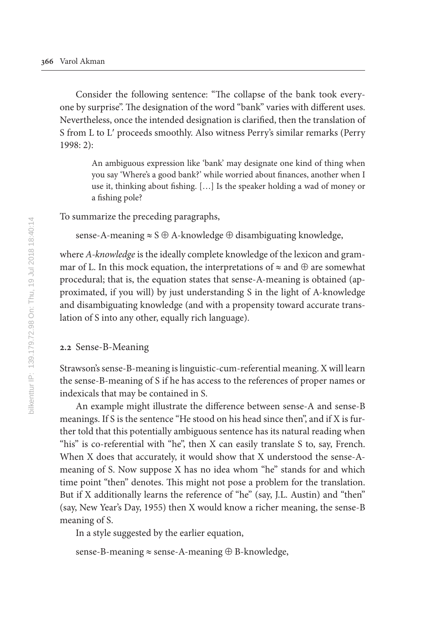Consider the following sentence: "The collapse of the bank took everyone by surprise". The designation of the word "bank" varies with different uses. Nevertheless, once the intended designation is clarified, then the translation of S from L to L′ proceeds smoothly. Also witness Perry's similar remarks (Perry 1998: 2):

> An ambiguous expression like 'bank' may designate one kind of thing when you say 'Where's a good bank?' while worried about finances, another when I use it, thinking about fishing. […] Is the speaker holding a wad of money or a fishing pole?

To summarize the preceding paragraphs,

sense-A-meaning  $\approx$  S  $\oplus$  A-knowledge  $\oplus$  disambiguating knowledge,

where *A-knowledge* is the ideally complete knowledge of the lexicon and grammar of L. In this mock equation, the interpretations of  $\approx$  and  $\oplus$  are somewhat procedural; that is, the equation states that sense-A-meaning is obtained (approximated, if you will) by just understanding S in the light of A-knowledge and disambiguating knowledge (and with a propensity toward accurate translation of S into any other, equally rich language).

## **2.2** Sense-B-Meaning

Strawson's sense-B-meaning is linguistic-cum-referential meaning. X will learn the sense-B-meaning of S if he has access to the references of proper names or indexicals that may be contained in S.

An example might illustrate the difference between sense-A and sense-B meanings. If S is the sentence "He stood on his head since then", and if X is further told that this potentially ambiguous sentence has its natural reading when "his" is co-referential with "he", then X can easily translate S to, say, French. When X does that accurately, it would show that X understood the sense-Ameaning of S. Now suppose X has no idea whom "he" stands for and which time point "then" denotes. This might not pose a problem for the translation. But if X additionally learns the reference of "he" (say, J.L. Austin) and "then" (say, New Year's Day, 1955) then X would know a richer meaning, the sense-B meaning of S.

In a style suggested by the earlier equation,

sense-B-meaning  $\approx$  sense-A-meaning  $\oplus$  B-knowledge,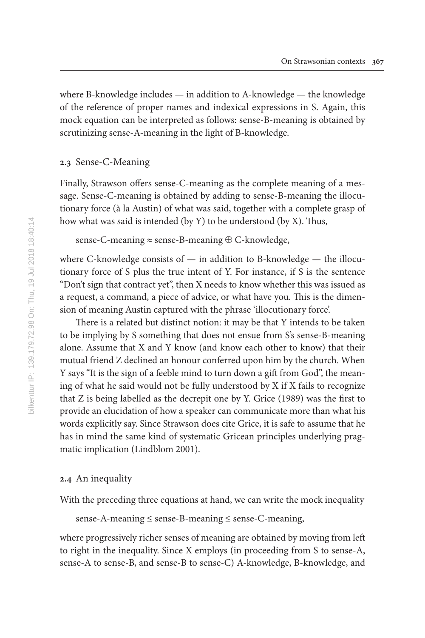where B-knowledge includes — in addition to A-knowledge — the knowledge of the reference of proper names and indexical expressions in S. Again, this mock equation can be interpreted as follows: sense-B-meaning is obtained by scrutinizing sense-A-meaning in the light of B-knowledge.

## **2.3** Sense-C-Meaning

Finally, Strawson offers sense-C-meaning as the complete meaning of a message. Sense-C-meaning is obtained by adding to sense-B-meaning the illocutionary force (à la Austin) of what was said, together with a complete grasp of how what was said is intended (by Y) to be understood (by X). Thus,

```
sense-C-meaning \approx sense-B-meaning \oplus C-knowledge,
```
where C-knowledge consists of — in addition to B-knowledge — the illocutionary force of S plus the true intent of Y. For instance, if S is the sentence "Don't sign that contract yet", then X needs to know whether this was issued as a request, a command, a piece of advice, or what have you. This is the dimension of meaning Austin captured with the phrase 'illocutionary force'.

There is a related but distinct notion: it may be that Y intends to be taken to be implying by S something that does not ensue from S's sense-B-meaning alone. Assume that X and Y know (and know each other to know) that their mutual friend Z declined an honour conferred upon him by the church. When Y says "It is the sign of a feeble mind to turn down a gift from God", the meaning of what he said would not be fully understood by X if X fails to recognize that Z is being labelled as the decrepit one by Y. Grice (1989) was the first to provide an elucidation of how a speaker can communicate more than what his words explicitly say. Since Strawson does cite Grice, it is safe to assume that he has in mind the same kind of systematic Gricean principles underlying pragmatic implication (Lindblom 2001).

## **2.4** An inequality

With the preceding three equations at hand, we can write the mock inequality

```
 sense-A-meaning ≤ sense-B-meaning ≤ sense-C-meaning,
```
where progressively richer senses of meaning are obtained by moving from left to right in the inequality. Since X employs (in proceeding from S to sense-A, sense-A to sense-B, and sense-B to sense-C) A-knowledge, B-knowledge, and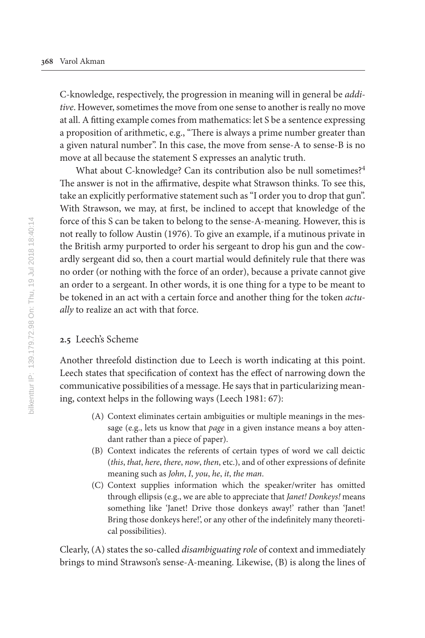C-knowledge, respectively, the progression in meaning will in general be *additive*. However, sometimes the move from one sense to another is really no move at all. A fitting example comes from mathematics: let S be a sentence expressing a proposition of arithmetic, e.g., "There is always a prime number greater than a given natural number". In this case, the move from sense-A to sense-B is no move at all because the statement S expresses an analytic truth.

What about C-knowledge? Can its contribution also be null sometimes?<sup>4</sup> The answer is not in the affirmative, despite what Strawson thinks. To see this, take an explicitly performative statement such as "I order you to drop that gun". With Strawson, we may, at first, be inclined to accept that knowledge of the force of this S can be taken to belong to the sense-A-meaning. However, this is not really to follow Austin (1976). To give an example, if a mutinous private in the British army purported to order his sergeant to drop his gun and the cowardly sergeant did so, then a court martial would definitely rule that there was no order (or nothing with the force of an order), because a private cannot give an order to a sergeant. In other words, it is one thing for a type to be meant to be tokened in an act with a certain force and another thing for the token *actually* to realize an act with that force.

# **2.5** Leech's Scheme

Another threefold distinction due to Leech is worth indicating at this point. Leech states that specification of context has the effect of narrowing down the communicative possibilities of a message. He says that in particularizing meaning, context helps in the following ways (Leech 1981: 67):

- (A) Context eliminates certain ambiguities or multiple meanings in the message (e.g., lets us know that *page* in a given instance means a boy attendant rather than a piece of paper).
- (B) Context indicates the referents of certain types of word we call deictic (*this*, *that*, *here*, *there*, *now*, *then*, etc.), and of other expressions of definite meaning such as *John*, *I*, *you*, *he*, *it*, *the man*.
- (C) Context supplies information which the speaker/writer has omitted through ellipsis (e.g., we are able to appreciate that *Janet! Donkeys!* means something like 'Janet! Drive those donkeys away!' rather than 'Janet! Bring those donkeys here!', or any other of the indefinitely many theoretical possibilities).

Clearly, (A) states the so-called *disambiguating role* of context and immediately brings to mind Strawson's sense-A-meaning. Likewise, (B) is along the lines of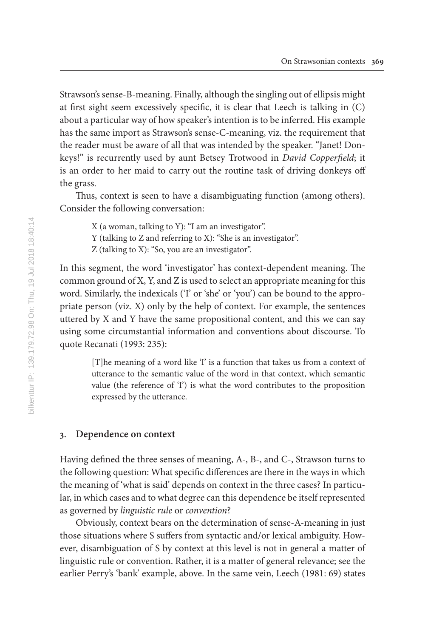Strawson's sense-B-meaning. Finally, although the singling out of ellipsis might at first sight seem excessively specific, it is clear that Leech is talking in (C) about a particular way of how speaker's intention is to be inferred. His example has the same import as Strawson's sense-C-meaning, viz. the requirement that the reader must be aware of all that was intended by the speaker. "Janet! Donkeys!" is recurrently used by aunt Betsey Trotwood in *David Copperfield*; it is an order to her maid to carry out the routine task of driving donkeys off the grass.

Thus, context is seen to have a disambiguating function (among others). Consider the following conversation:

X (a woman, talking to Y): "I am an investigator".

- Y (talking to Z and referring to X): "She is an investigator".
- Z (talking to X): "So, you are an investigator".

In this segment, the word 'investigator' has context-dependent meaning. The common ground of X, Y, and Z is used to select an appropriate meaning for this word. Similarly, the indexicals ('I' or 'she' or 'you') can be bound to the appropriate person (viz. X) only by the help of context. For example, the sentences uttered by X and Y have the same propositional content, and this we can say using some circumstantial information and conventions about discourse. To quote Recanati (1993: 235):

> [T]he meaning of a word like 'I' is a function that takes us from a context of utterance to the semantic value of the word in that context, which semantic value (the reference of 'I') is what the word contributes to the proposition expressed by the utterance.

### **3. Dependence on context**

Having defined the three senses of meaning, A-, B-, and C-, Strawson turns to the following question: What specific differences are there in the ways in which the meaning of 'what is said' depends on context in the three cases? In particular, in which cases and to what degree can this dependence be itself represented as governed by *linguistic rule* or *convention*?

Obviously, context bears on the determination of sense-A-meaning in just those situations where S suffers from syntactic and/or lexical ambiguity. However, disambiguation of S by context at this level is not in general a matter of linguistic rule or convention. Rather, it is a matter of general relevance; see the earlier Perry's 'bank' example, above. In the same vein, Leech (1981: 69) states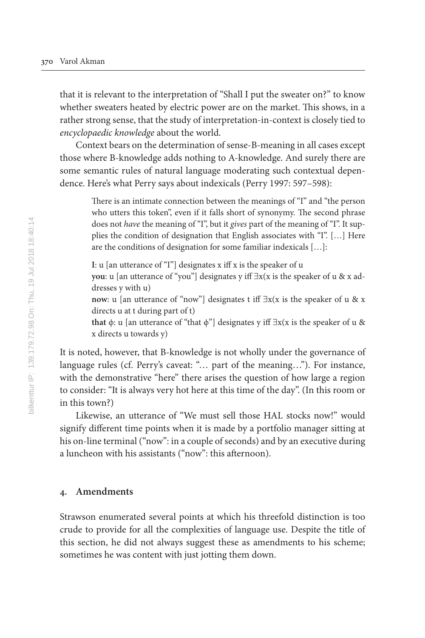that it is relevant to the interpretation of "Shall I put the sweater on?" to know whether sweaters heated by electric power are on the market. This shows, in a rather strong sense, that the study of interpretation-in-context is closely tied to *encyclopaedic knowledge* about the world.

Context bears on the determination of sense-B-meaning in all cases except those where B-knowledge adds nothing to A-knowledge. And surely there are some semantic rules of natural language moderating such contextual dependence. Here's what Perry says about indexicals (Perry 1997: 597–598):

> There is an intimate connection between the meanings of "I" and "the person who utters this token", even if it falls short of synonymy. The second phrase does not *have* the meaning of "I", but it *gives* part of the meaning of "I". It supplies the condition of designation that English associates with "I". […] Here are the conditions of designation for some familiar indexicals […]:

**I**: u [an utterance of "I"] designates x iff x is the speaker of u

**you**: u [an utterance of "you"] designates y iff ∃x(x is the speaker of u & x addresses y with u)

**now**: u [an utterance of "now"] designates t iff ∃x(x is the speaker of u & x directs u at t during part of t)

**that**  $φ$ : **u** [an utterance of "that  $φ$ "] designates y iff  $∃x(x)$  is the speaker of **u** & x directs u towards y)

It is noted, however, that B-knowledge is not wholly under the governance of language rules (cf. Perry's caveat: "… part of the meaning…"). For instance, with the demonstrative "here" there arises the question of how large a region to consider: "It is always very hot here at this time of the day". (In this room or in this town?)

Likewise, an utterance of "We must sell those HAL stocks now!" would signify different time points when it is made by a portfolio manager sitting at his on-line terminal ("now": in a couple of seconds) and by an executive during a luncheon with his assistants ("now": this afternoon).

## **4. Amendments**

Strawson enumerated several points at which his threefold distinction is too crude to provide for all the complexities of language use. Despite the title of this section, he did not always suggest these as amendments to his scheme; sometimes he was content with just jotting them down.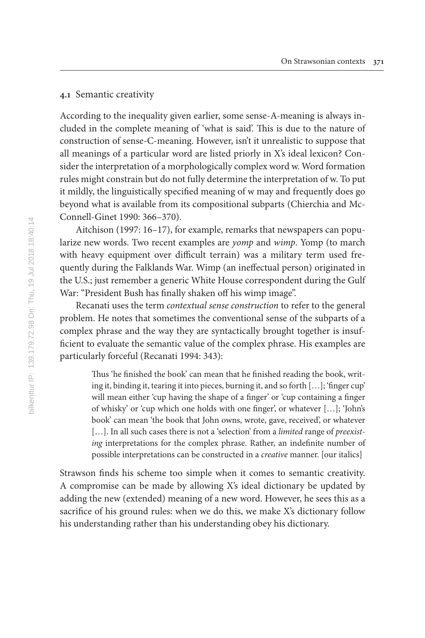#### **4.** Semantic creativity

According to the inequality given earlier, some sense-A-meaning is always included in the complete meaning of 'what is said'. This is due to the nature of construction of sense-C-meaning. However, isn't it unrealistic to suppose that all meanings of a particular word are listed priorly in X's ideal lexicon? Consider the interpretation of a morphologically complex word w. Word formation rules might constrain but do not fully determine the interpretation of w. To put it mildly, the linguistically specified meaning of w may and frequently does go beyond what is available from its compositional subparts (Chierchia and Mc-Connell-Ginet 1990: 366–370).

Aitchison (1997: 16–17), for example, remarks that newspapers can popularize new words. Two recent examples are *yomp* and *wimp*. Yomp (to march with heavy equipment over difficult terrain) was a military term used frequently during the Falklands War. Wimp (an ineffectual person) originated in the U.S.; just remember a generic White House correspondent during the Gulf War: "President Bush has finally shaken off his wimp image".

Recanati uses the term *contextual sense construction* to refer to the general problem. He notes that sometimes the conventional sense of the subparts of a complex phrase and the way they are syntactically brought together is insufficient to evaluate the semantic value of the complex phrase. His examples are particularly forceful (Recanati 1994: 343):

> Thus 'he finished the book' can mean that he finished reading the book, writing it, binding it, tearing it into pieces, burning it, and so forth […]; 'finger cup' will mean either 'cup having the shape of a finger' or 'cup containing a finger of whisky' or 'cup which one holds with one finger', or whatever […]; 'John's book' can mean 'the book that John owns, wrote, gave, received', or whatever [...]. In all such cases there is not a 'selection' from a *limited* range of *preexisting* interpretations for the complex phrase. Rather, an indefinite number of possible interpretations can be constructed in a *creative* manner. [our italics]

Strawson finds his scheme too simple when it comes to semantic creativity. A compromise can be made by allowing X's ideal dictionary be updated by adding the new (extended) meaning of a new word. However, he sees this as a sacrifice of his ground rules: when we do this, we make X's dictionary follow his understanding rather than his understanding obey his dictionary.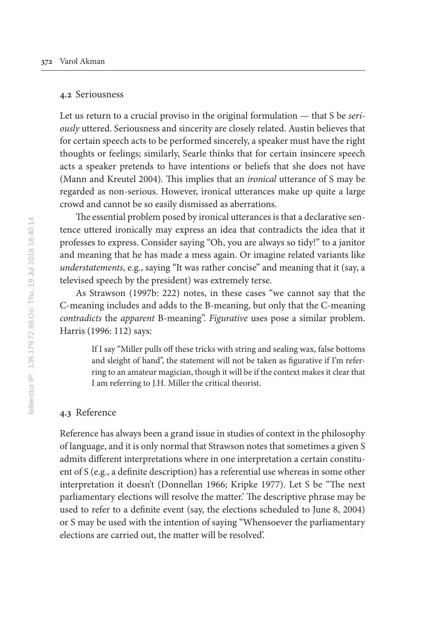## **4.2** Seriousness

Let us return to a crucial proviso in the original formulation — that S be *seriously* uttered. Seriousness and sincerity are closely related. Austin believes that for certain speech acts to be performed sincerely, a speaker must have the right thoughts or feelings; similarly, Searle thinks that for certain insincere speech acts a speaker pretends to have intentions or beliefs that she does not have (Mann and Kreutel 2004). This implies that an *ironical* utterance of S may be regarded as non-serious. However, ironical utterances make up quite a large crowd and cannot be so easily dismissed as aberrations.

The essential problem posed by ironical utterances is that a declarative sentence uttered ironically may express an idea that contradicts the idea that it professes to express. Consider saying "Oh, you are always so tidy!" to a janitor and meaning that he has made a mess again. Or imagine related variants like *understatements*, e.g., saying "It was rather concise" and meaning that it (say, a televised speech by the president) was extremely terse.

As Strawson (1997b: 222) notes, in these cases "we cannot say that the C-meaning includes and adds to the B-meaning, but only that the C-meaning *contradicts* the *apparent* B-meaning". *Figurative* uses pose a similar problem. Harris (1996: 112) says:

> If I say "Miller pulls off these tricks with string and sealing wax, false bottoms and sleight of hand", the statement will not be taken as figurative if I'm referring to an amateur magician, though it will be if the context makes it clear that I am referring to J.H. Miller the critical theorist.

# **4.3** Reference

Reference has always been a grand issue in studies of context in the philosophy of language, and it is only normal that Strawson notes that sometimes a given S admits different interpretations where in one interpretation a certain constituent of S (e.g., a definite description) has a referential use whereas in some other interpretation it doesn't (Donnellan 1966; Kripke 1977). Let S be "The next parliamentary elections will resolve the matter.' The descriptive phrase may be used to refer to a definite event (say, the elections scheduled to June 8, 2004) or S may be used with the intention of saying "Whensoever the parliamentary elections are carried out, the matter will be resolved'.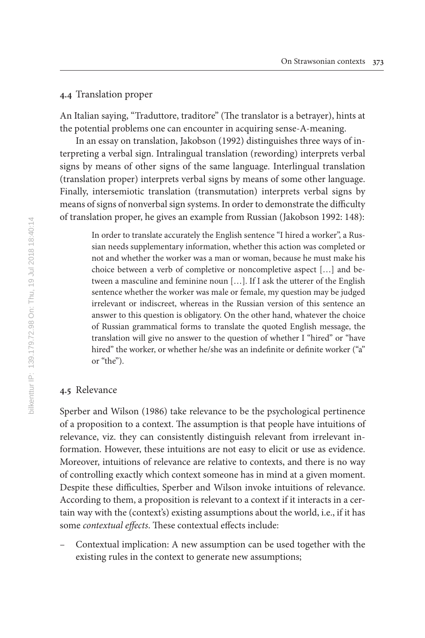## **4.4** Translation proper

An Italian saying, "Traduttore, traditore" (The translator is a betrayer), hints at the potential problems one can encounter in acquiring sense-A-meaning.

In an essay on translation, Jakobson (1992) distinguishes three ways of interpreting a verbal sign. Intralingual translation (rewording) interprets verbal signs by means of other signs of the same language. Interlingual translation (translation proper) interprets verbal signs by means of some other language. Finally, intersemiotic translation (transmutation) interprets verbal signs by means of signs of nonverbal sign systems. In order to demonstrate the difficulty of translation proper, he gives an example from Russian (Jakobson 1992: 148):

> In order to translate accurately the English sentence "I hired a worker", a Russian needs supplementary information, whether this action was completed or not and whether the worker was a man or woman, because he must make his choice between a verb of completive or noncompletive aspect […] and between a masculine and feminine noun […]. If I ask the utterer of the English sentence whether the worker was male or female, my question may be judged irrelevant or indiscreet, whereas in the Russian version of this sentence an answer to this question is obligatory. On the other hand, whatever the choice of Russian grammatical forms to translate the quoted English message, the translation will give no answer to the question of whether I "hired" or "have hired" the worker, or whether he/she was an indefinite or definite worker ("a" or "the").

## **4.5** Relevance

Sperber and Wilson (1986) take relevance to be the psychological pertinence of a proposition to a context. The assumption is that people have intuitions of relevance, viz. they can consistently distinguish relevant from irrelevant information. However, these intuitions are not easy to elicit or use as evidence. Moreover, intuitions of relevance are relative to contexts, and there is no way of controlling exactly which context someone has in mind at a given moment. Despite these difficulties, Sperber and Wilson invoke intuitions of relevance. According to them, a proposition is relevant to a context if it interacts in a certain way with the (context's) existing assumptions about the world, i.e., if it has some *contextual effects*. These contextual effects include:

– Contextual implication: A new assumption can be used together with the existing rules in the context to generate new assumptions;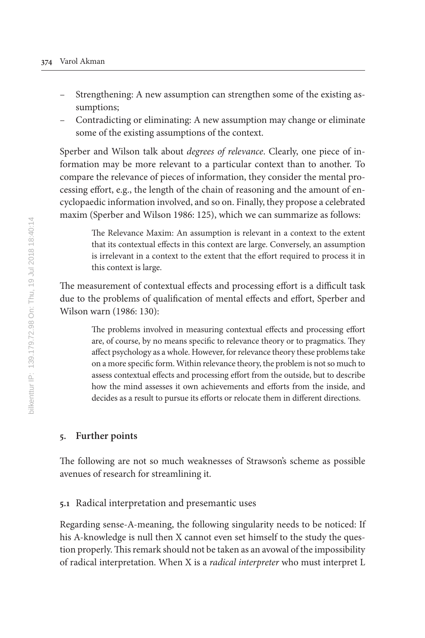- Strengthening: A new assumption can strengthen some of the existing assumptions;
- Contradicting or eliminating: A new assumption may change or eliminate some of the existing assumptions of the context.

Sperber and Wilson talk about *degrees of relevance*. Clearly, one piece of information may be more relevant to a particular context than to another. To compare the relevance of pieces of information, they consider the mental processing effort, e.g., the length of the chain of reasoning and the amount of encyclopaedic information involved, and so on. Finally, they propose a celebrated maxim (Sperber and Wilson 1986: 125), which we can summarize as follows:

> The Relevance Maxim: An assumption is relevant in a context to the extent that its contextual effects in this context are large. Conversely, an assumption is irrelevant in a context to the extent that the effort required to process it in this context is large.

The measurement of contextual effects and processing effort is a difficult task due to the problems of qualification of mental effects and effort, Sperber and Wilson warn (1986: 130):

> The problems involved in measuring contextual effects and processing effort are, of course, by no means specific to relevance theory or to pragmatics. They affect psychology as a whole. However, for relevance theory these problems take on a more specific form. Within relevance theory, the problem is not so much to assess contextual effects and processing effort from the outside, but to describe how the mind assesses it own achievements and efforts from the inside, and decides as a result to pursue its efforts or relocate them in different directions.

## **5. Further points**

The following are not so much weaknesses of Strawson's scheme as possible avenues of research for streamlining it.

#### **5.** Radical interpretation and presemantic uses

Regarding sense-A-meaning, the following singularity needs to be noticed: If his A-knowledge is null then X cannot even set himself to the study the question properly. This remark should not be taken as an avowal of the impossibility of radical interpretation. When X is a *radical interpreter* who must interpret L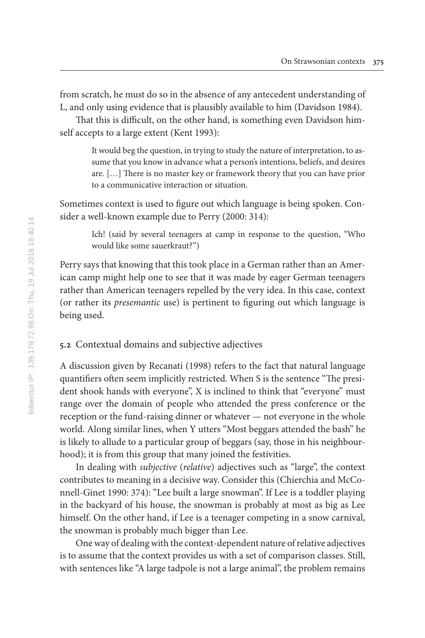from scratch, he must do so in the absence of any antecedent understanding of L, and only using evidence that is plausibly available to him (Davidson 1984).

That this is difficult, on the other hand, is something even Davidson himself accepts to a large extent (Kent 1993):

> It would beg the question, in trying to study the nature of interpretation, to assume that you know in advance what a person's intentions, beliefs, and desires are. […] There is no master key or framework theory that you can have prior to a communicative interaction or situation.

Sometimes context is used to figure out which language is being spoken. Consider a well-known example due to Perry (2000: 314):

> Ich! (said by several teenagers at camp in response to the question, "Who would like some sauerkraut?")

Perry says that knowing that this took place in a German rather than an American camp might help one to see that it was made by eager German teenagers rather than American teenagers repelled by the very idea. In this case, context (or rather its *presemantic* use) is pertinent to figuring out which language is being used.

#### **5.2** Contextual domains and subjective adjectives

A discussion given by Recanati (1998) refers to the fact that natural language quantifiers often seem implicitly restricted. When S is the sentence "The president shook hands with everyone", X is inclined to think that "everyone" must range over the domain of people who attended the press conference or the reception or the fund-raising dinner or whatever — not everyone in the whole world. Along similar lines, when Y utters "Most beggars attended the bash" he is likely to allude to a particular group of beggars (say, those in his neighbourhood); it is from this group that many joined the festivities.

In dealing with *subjective* (*relative*) adjectives such as "large", the context contributes to meaning in a decisive way. Consider this (Chierchia and McConnell-Ginet 1990: 374): "Lee built a large snowman". If Lee is a toddler playing in the backyard of his house, the snowman is probably at most as big as Lee himself. On the other hand, if Lee is a teenager competing in a snow carnival, the snowman is probably much bigger than Lee.

One way of dealing with the context-dependent nature of relative adjectives is to assume that the context provides us with a set of comparison classes. Still, with sentences like "A large tadpole is not a large animal", the problem remains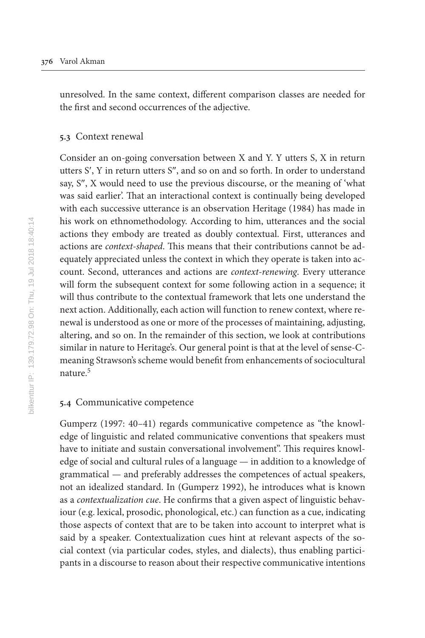unresolved. In the same context, different comparison classes are needed for the first and second occurrences of the adjective.

#### **5.3** Context renewal

Consider an on-going conversation between X and Y. Y utters S, X in return utters S′, Y in return utters S″, and so on and so forth. In order to understand say, S″, X would need to use the previous discourse, or the meaning of 'what was said earlier'. That an interactional context is continually being developed with each successive utterance is an observation Heritage (1984) has made in his work on ethnomethodology. According to him, utterances and the social actions they embody are treated as doubly contextual. First, utterances and actions are *context-shaped*. This means that their contributions cannot be adequately appreciated unless the context in which they operate is taken into account. Second, utterances and actions are *context-renewing*. Every utterance will form the subsequent context for some following action in a sequence; it will thus contribute to the contextual framework that lets one understand the next action. Additionally, each action will function to renew context, where renewal is understood as one or more of the processes of maintaining, adjusting, altering, and so on. In the remainder of this section, we look at contributions similar in nature to Heritage's. Our general point is that at the level of sense-Cmeaning Strawson's scheme would benefit from enhancements of sociocultural nature<sup>5</sup>

## **5.4** Communicative competence

Gumperz (1997: 40–41) regards communicative competence as "the knowledge of linguistic and related communicative conventions that speakers must have to initiate and sustain conversational involvement". This requires knowledge of social and cultural rules of a language — in addition to a knowledge of grammatical — and preferably addresses the competences of actual speakers, not an idealized standard. In (Gumperz 1992), he introduces what is known as a *contextualization cue*. He confirms that a given aspect of linguistic behaviour (e.g. lexical, prosodic, phonological, etc.) can function as a cue, indicating those aspects of context that are to be taken into account to interpret what is said by a speaker. Contextualization cues hint at relevant aspects of the social context (via particular codes, styles, and dialects), thus enabling participants in a discourse to reason about their respective communicative intentions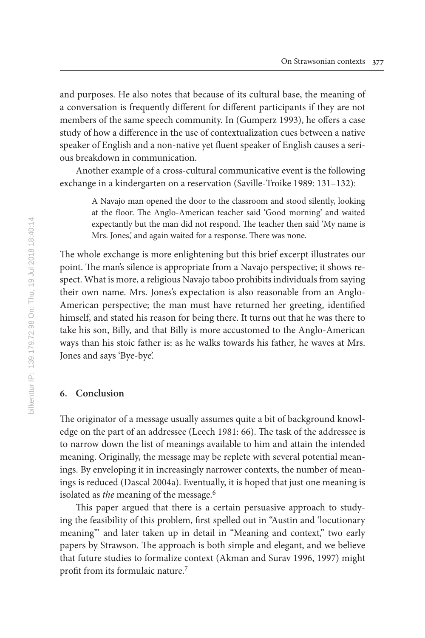and purposes. He also notes that because of its cultural base, the meaning of a conversation is frequently different for different participants if they are not members of the same speech community. In (Gumperz 1993), he offers a case study of how a difference in the use of contextualization cues between a native speaker of English and a non-native yet fluent speaker of English causes a serious breakdown in communication.

Another example of a cross-cultural communicative event is the following exchange in a kindergarten on a reservation (Saville-Troike 1989: 131–132):

> A Navajo man opened the door to the classroom and stood silently, looking at the floor. The Anglo-American teacher said 'Good morning' and waited expectantly but the man did not respond. The teacher then said 'My name is Mrs. Jones,' and again waited for a response. There was none.

The whole exchange is more enlightening but this brief excerpt illustrates our point. The man's silence is appropriate from a Navajo perspective; it shows respect. What is more, a religious Navajo taboo prohibits individuals from saying their own name. Mrs. Jones's expectation is also reasonable from an Anglo-American perspective; the man must have returned her greeting, identified himself, and stated his reason for being there. It turns out that he was there to take his son, Billy, and that Billy is more accustomed to the Anglo-American ways than his stoic father is: as he walks towards his father, he waves at Mrs. Jones and says 'Bye-bye'.

#### **6. Conclusion**

The originator of a message usually assumes quite a bit of background knowledge on the part of an addressee (Leech 1981: 66). The task of the addressee is to narrow down the list of meanings available to him and attain the intended meaning. Originally, the message may be replete with several potential meanings. By enveloping it in increasingly narrower contexts, the number of meanings is reduced (Dascal 2004a). Eventually, it is hoped that just one meaning is isolated as *the* meaning of the message.6

This paper argued that there is a certain persuasive approach to studying the feasibility of this problem, first spelled out in "Austin and 'locutionary meaning'" and later taken up in detail in "Meaning and context," two early papers by Strawson. The approach is both simple and elegant, and we believe that future studies to formalize context (Akman and Surav 1996, 1997) might profit from its formulaic nature.7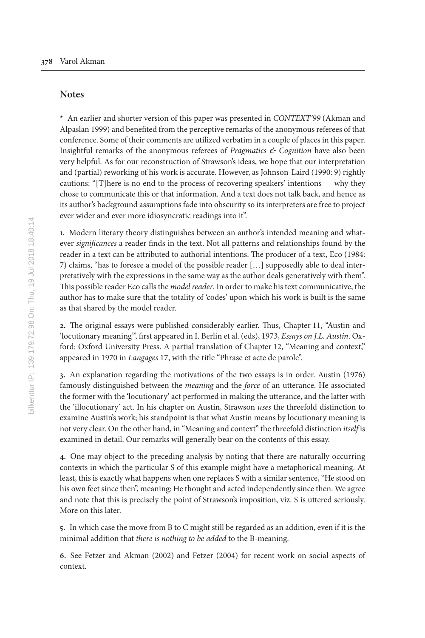# **Notes**

**\*** An earlier and shorter version of this paper was presented in *CONTEXT'99* (Akman and Alpaslan 1999) and benefited from the perceptive remarks of the anonymous referees of that conference. Some of their comments are utilized verbatim in a couple of places in this paper. Insightful remarks of the anonymous referees of *Pragmatics & Cognition* have also been very helpful. As for our reconstruction of Strawson's ideas, we hope that our interpretation and (partial) reworking of his work is accurate. However, as Johnson-Laird (1990: 9) rightly cautions: "[T]here is no end to the process of recovering speakers' intentions — why they chose to communicate this or that information. And a text does not talk back, and hence as its author's background assumptions fade into obscurity so its interpreters are free to project ever wider and ever more idiosyncratic readings into it".

**.** Modern literary theory distinguishes between an author's intended meaning and whatever *significances* a reader finds in the text. Not all patterns and relationships found by the reader in a text can be attributed to authorial intentions. The producer of a text, Eco (1984: 7) claims, "has to foresee a model of the possible reader […] supposedly able to deal interpretatively with the expressions in the same way as the author deals generatively with them". This possible reader Eco calls the *model reader*. In order to make his text communicative, the author has to make sure that the totality of 'codes' upon which his work is built is the same as that shared by the model reader.

**2.** The original essays were published considerably earlier. Thus, Chapter 11, "Austin and 'locutionary meaning'", first appeared in I. Berlin et al. (eds), 1973, *Essays on J.L. Austin*. Oxford: Oxford University Press. A partial translation of Chapter 12, "Meaning and context," appeared in 1970 in *Langages* 17, with the title "Phrase et acte de parole".

**3.** An explanation regarding the motivations of the two essays is in order. Austin (1976) famously distinguished between the *meaning* and the *force* of an utterance. He associated the former with the 'locutionary' act performed in making the utterance, and the latter with the 'illocutionary' act. In his chapter on Austin, Strawson *uses* the threefold distinction to examine Austin's work; his standpoint is that what Austin means by locutionary meaning is not very clear. On the other hand, in "Meaning and context" the threefold distinction *itself* is examined in detail. Our remarks will generally bear on the contents of this essay.

**4.** One may object to the preceding analysis by noting that there are naturally occurring contexts in which the particular S of this example might have a metaphorical meaning. At least, this is exactly what happens when one replaces S with a similar sentence, "He stood on his own feet since then", meaning: He thought and acted independently since then. We agree and note that this is precisely the point of Strawson's imposition, viz. S is uttered seriously. More on this later.

**5.** In which case the move from B to C might still be regarded as an addition, even if it is the minimal addition that *there is nothing to be added* to the B-meaning.

**6.** See Fetzer and Akman (2002) and Fetzer (2004) for recent work on social aspects of context.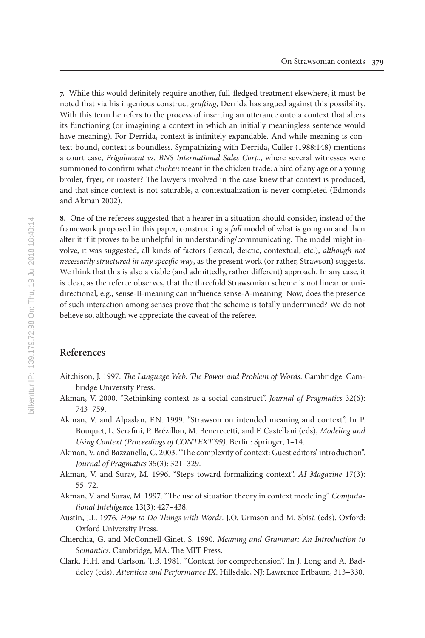**7.** While this would definitely require another, full-fledged treatment elsewhere, it must be noted that via his ingenious construct *grafting*, Derrida has argued against this possibility. With this term he refers to the process of inserting an utterance onto a context that alters its functioning (or imagining a context in which an initially meaningless sentence would have meaning). For Derrida, context is infinitely expandable. And while meaning is context-bound, context is boundless. Sympathizing with Derrida, Culler (1988:148) mentions a court case, *Frigaliment vs. BNS International Sales Corp.*, where several witnesses were summoned to confirm what *chicken* meant in the chicken trade: a bird of any age or a young broiler, fryer, or roaster? The lawyers involved in the case knew that context is produced, and that since context is not saturable, a contextualization is never completed (Edmonds and Akman 2002).

**8.** One of the referees suggested that a hearer in a situation should consider, instead of the framework proposed in this paper, constructing a *full* model of what is going on and then alter it if it proves to be unhelpful in understanding/communicating. The model might involve, it was suggested, all kinds of factors (lexical, deictic, contextual, etc.), *although not necessarily structured in any specific way*, as the present work (or rather, Strawson) suggests. We think that this is also a viable (and admittedly, rather different) approach. In any case, it is clear, as the referee observes, that the threefold Strawsonian scheme is not linear or unidirectional, e.g., sense-B-meaning can influence sense-A-meaning. Now, does the presence of such interaction among senses prove that the scheme is totally undermined? We do not believe so, although we appreciate the caveat of the referee.

# **References**

- Aitchison, J. 1997. *The Language Web: The Power and Problem of Words*. Cambridge: Cambridge University Press.
- Akman, V. 2000. "Rethinking context as a social construct". *Journal of Pragmatics* 32(6): 743–759.
- Akman, V. and Alpaslan, F.N. 1999. "Strawson on intended meaning and context". In P. Bouquet, L. Serafini, P. Brézillon, M. Benerecetti, and F. Castellani (eds), *Modeling and Using Context (Proceedings of CONTEXT'99)*. Berlin: Springer, 1–14.
- Akman, V. and Bazzanella, C. 2003. "The complexity of context: Guest editors' introduction". *Journal of Pragmatics* 35(3): 321–329.
- Akman, V. and Surav, M. 1996. "Steps toward formalizing context". *AI Magazine* 17(3): 55–72.
- Akman, V. and Surav, M. 1997. "The use of situation theory in context modeling". *Computational Intelligence* 13(3): 427–438.
- Austin, J.L. 1976. *How to Do Things with Words*. J.O. Urmson and M. Sbisà (eds). Oxford: Oxford University Press.
- Chierchia, G. and McConnell-Ginet, S. 1990. *Meaning and Grammar: An Introduction to Semantics*. Cambridge, MA: The MIT Press.
- Clark, H.H. and Carlson, T.B. 1981. "Context for comprehension". In J. Long and A. Baddeley (eds), *Attention and Performance IX*. Hillsdale, NJ: Lawrence Erlbaum, 313–330.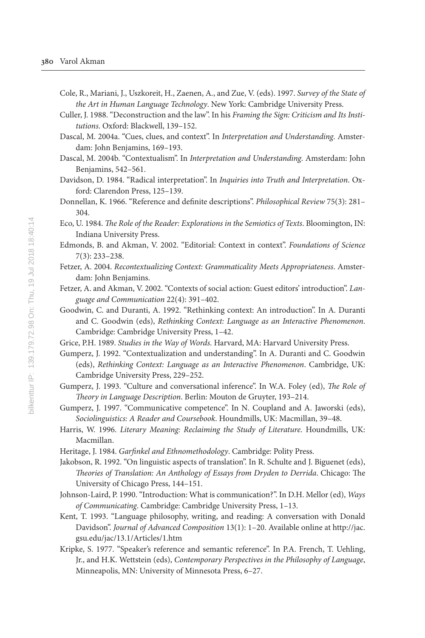- Cole, R., Mariani, J., Uszkoreit, H., Zaenen, A., and Zue, V. (eds). 1997. *Survey of the State of the Art in Human Language Technology*. New York: Cambridge University Press.
- Culler, J. 1988. "Deconstruction and the law". In his *Framing the Sign: Criticism and Its Institutions*. Oxford: Blackwell, 139–152.
- Dascal, M. 2004a. "Cues, clues, and context". In *Interpretation and Understanding*. Amsterdam: John Benjamins, 169–193.
- Dascal, M. 2004b. "Contextualism". In *Interpretation and Understanding*. Amsterdam: John Benjamins, 542–561.
- Davidson, D. 1984. "Radical interpretation". In *Inquiries into Truth and Interpretation*. Oxford: Clarendon Press, 125–139.
- Donnellan, K. 1966. "Reference and definite descriptions". *Philosophical Review* 75(3): 281– 304.
- Eco, U. 1984. *The Role of the Reader: Explorations in the Semiotics of Texts*. Bloomington, IN: Indiana University Press.
- Edmonds, B. and Akman, V. 2002. "Editorial: Context in context". *Foundations of Science* 7(3): 233–238.
- Fetzer, A. 2004. *Recontextualizing Context: Grammaticality Meets Appropriateness*. Amsterdam: John Benjamins.
- Fetzer, A. and Akman, V. 2002. "Contexts of social action: Guest editors' introduction". *Language and Communication* 22(4): 391–402.
- Goodwin, C. and Duranti, A. 1992. "Rethinking context: An introduction". In A. Duranti and C. Goodwin (eds), *Rethinking Context: Language as an Interactive Phenomenon*. Cambridge: Cambridge University Press, 1–42.
- Grice, P.H. 1989. *Studies in the Way of Words*. Harvard, MA: Harvard University Press.
- Gumperz, J. 1992. "Contextualization and understanding". In A. Duranti and C. Goodwin (eds), *Rethinking Context: Language as an Interactive Phenomenon*. Cambridge, UK: Cambridge University Press, 229–252.
- Gumperz, J. 1993. "Culture and conversational inference". In W.A. Foley (ed), *The Role of Theory in Language Description*. Berlin: Mouton de Gruyter, 193–214.
- Gumperz, J. 1997. "Communicative competence". In N. Coupland and A. Jaworski (eds), *Sociolinguistics: A Reader and Coursebook*. Houndmills, UK: Macmillan, 39–48.
- Harris, W. 1996. *Literary Meaning: Reclaiming the Study of Literature*. Houndmills, UK: Macmillan.
- Heritage, J. 1984. *Garfinkel and Ethnomethodology*. Cambridge: Polity Press.
- Jakobson, R. 1992. "On linguistic aspects of translation". In R. Schulte and J. Biguenet (eds), *Theories of Translation: An Anthology of Essays from Dryden to Derrida*. Chicago: The University of Chicago Press, 144–151.
- Johnson-Laird, P. 1990. "Introduction: What is communication?". In D.H. Mellor (ed), *Ways of Communicating*. Cambridge: Cambridge University Press, 1–13.
- Kent, T. 1993. "Language philosophy, writing, and reading: A conversation with Donald Davidson". *Journal of Advanced Composition* 13(1): 1–20. Available online at [http://jac.](http://jac.gsu.edu/jac/13.1/Articles/1.htm) [gsu.edu/jac/13.1/Articles/1.htm](http://jac.gsu.edu/jac/13.1/Articles/1.htm)
- Kripke, S. 1977. "Speaker's reference and semantic reference". In P.A. French, T. Uehling, Jr., and H.K. Wettstein (eds), *Contemporary Perspectives in the Philosophy of Language*, Minneapolis, MN: University of Minnesota Press, 6–27.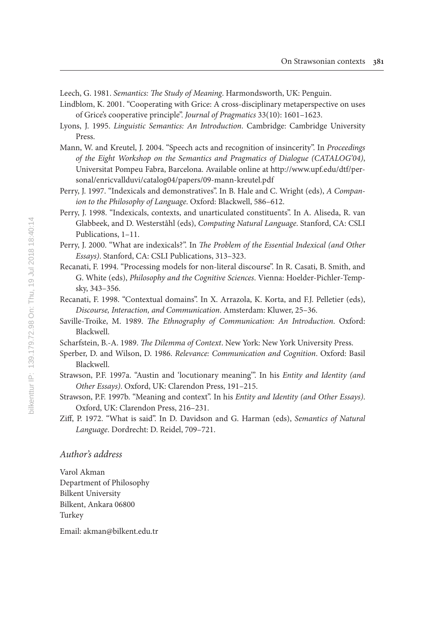Leech, G. 1981. *Semantics: The Study of Meaning*. Harmondsworth, UK: Penguin.

- Lindblom, K. 2001. "Cooperating with Grice: A cross-disciplinary metaperspective on uses of Grice's cooperative principle". *Journal of Pragmatics* 33(10): 1601–1623.
- Lyons, J. 1995. *Linguistic Semantics: An Introduction*. Cambridge: Cambridge University Press.
- Mann, W. and Kreutel, J. 2004. "Speech acts and recognition of insincerity". In *Proceedings of the Eight Workshop on the Semantics and Pragmatics of Dialogue (CATALOG'04)*, Universitat Pompeu Fabra, Barcelona. Available online at [http://www.upf.edu/dtf/per](http://www.upf.edu/dtf/personal/enricvallduvi/catalog04/papers/09-mann-kreutel.pdf)[sonal/enricvallduvi/catalog04/papers/09-mann-kreutel.pdf](http://www.upf.edu/dtf/personal/enricvallduvi/catalog04/papers/09-mann-kreutel.pdf)
- Perry, J. 1997. "Indexicals and demonstratives". In B. Hale and C. Wright (eds), *A Companion to the Philosophy of Language*. Oxford: Blackwell, 586–612.
- Perry, J. 1998. "Indexicals, contexts, and unarticulated constituents". In A. Aliseda, R. van Glabbeek, and D. Westerståhl (eds), *Computing Natural Language*. Stanford, CA: CSLI Publications, 1–11.
- Perry, J. 2000. "What are indexicals?". In *The Problem of the Essential Indexical (and Other Essays)*. Stanford, CA: CSLI Publications, 313–323.
- Recanati, F. 1994. "Processing models for non-literal discourse". In R. Casati, B. Smith, and G. White (eds), *Philosophy and the Cognitive Sciences*. Vienna: Hoelder-Pichler-Tempsky, 343–356.
- Recanati, F. 1998. "Contextual domains". In X. Arrazola, K. Korta, and F.J. Pelletier (eds), *Discourse, Interaction, and Communication*. Amsterdam: Kluwer, 25–36.
- Saville-Troike, M. 1989. *The Ethnography of Communication: An Introduction*. Oxford: Blackwell.
- Scharfstein, B.-A. 1989. *The Dilemma of Context*. New York: New York University Press.
- Sperber, D. and Wilson, D. 1986. *Relevance: Communication and Cognition*. Oxford: Basil Blackwell.
- Strawson, P.F. 1997a. "Austin and 'locutionary meaning'". In his *Entity and Identity (and Other Essays)*. Oxford, UK: Clarendon Press, 191–215.
- Strawson, P.F. 1997b. "Meaning and context". In his *Entity and Identity (and Other Essays)*. Oxford, UK: Clarendon Press, 216–231.
- Ziff, P. 1972. "What is said". In D. Davidson and G. Harman (eds), *Semantics of Natural Language*. Dordrecht: D. Reidel, 709–721.

## *Author's address*

Varol Akman Department of Philosophy Bilkent University Bilkent, Ankara 06800 Turkey

Email: [akman@bilkent.edu.tr](mailto:akman@bilkent.edu.tr)